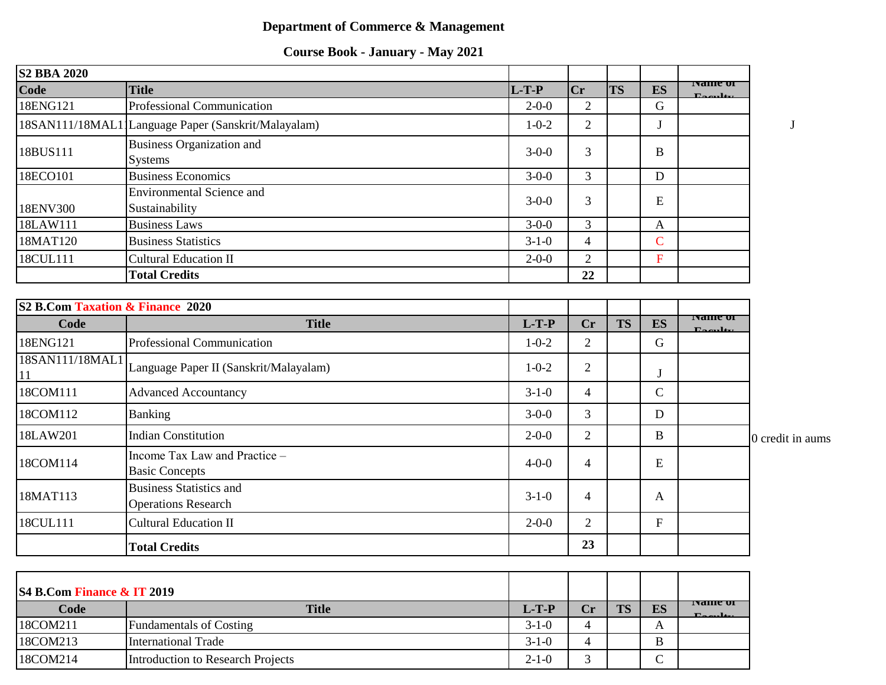## **Department of Commerce & Management**

| <b>Course Book - January - May 2021</b> |
|-----------------------------------------|
|-----------------------------------------|

| <b>S2 BBA 2020</b>                          |                                                              |             |                |           |                           |                                   |                  |
|---------------------------------------------|--------------------------------------------------------------|-------------|----------------|-----------|---------------------------|-----------------------------------|------------------|
| Code                                        | <b>Title</b>                                                 | $L-T-P$     | Cr             | <b>TS</b> | <b>ES</b>                 | <b>IVAHITE OI</b><br>$\mathbf{E}$ |                  |
| 18ENG121                                    | <b>Professional Communication</b>                            | $2 - 0 - 0$ | $\overline{2}$ |           | $\mathbf G$               |                                   |                  |
|                                             | 18SAN111/18MAL1 Language Paper (Sanskrit/Malayalam)          | $1 - 0 - 2$ | $\overline{2}$ |           | J                         |                                   | J                |
| 18BUS111                                    | <b>Business Organization and</b><br><b>Systems</b>           | $3 - 0 - 0$ | 3              |           | $\mathbf{B}$              |                                   |                  |
| 18ECO101                                    | <b>Business Economics</b>                                    | $3 - 0 - 0$ | 3              |           | D                         |                                   |                  |
| 18ENV300                                    | <b>Environmental Science and</b><br>Sustainability           | $3-0-0$     | 3              |           | E                         |                                   |                  |
| 18LAW111                                    | <b>Business Laws</b>                                         | $3 - 0 - 0$ | 3              |           | A                         |                                   |                  |
| 18MAT120                                    | <b>Business Statistics</b>                                   | $3-1-0$     | $\overline{4}$ |           | $\overline{C}$            |                                   |                  |
| 18CUL111                                    | <b>Cultural Education II</b>                                 | $2 - 0 - 0$ | $\overline{2}$ |           | $\overline{\mathrm{F}}$   |                                   |                  |
|                                             | <b>Total Credits</b>                                         |             | 22             |           |                           |                                   |                  |
|                                             |                                                              |             |                |           |                           |                                   |                  |
| <b>S2 B.Com Taxation &amp; Finance 2020</b> |                                                              |             |                |           |                           | <b>ivalite of</b>                 |                  |
| Code                                        | <b>Title</b>                                                 | $L-T-P$     | <b>Cr</b>      | <b>TS</b> | ES                        |                                   |                  |
| 18ENG121                                    | Professional Communication                                   | $1 - 0 - 2$ | $\overline{2}$ |           | $\mathbf G$               |                                   |                  |
| 18SAN111/18MAL1<br>11                       | Language Paper II (Sanskrit/Malayalam)                       | $1 - 0 - 2$ | 2              |           | J                         |                                   |                  |
| 18COM111                                    | <b>Advanced Accountancy</b>                                  | $3-1-0$     | $\overline{4}$ |           | $\mathsf{C}$              |                                   |                  |
| 18COM112                                    | <b>Banking</b>                                               | $3-0-0$     | 3              |           | D                         |                                   |                  |
| 18LAW201                                    | <b>Indian Constitution</b>                                   | $2 - 0 - 0$ | $\overline{2}$ |           | $\bf{B}$                  |                                   | 0 credit in aums |
| 18COM114                                    | Income Tax Law and Practice -<br><b>Basic Concepts</b>       | $4 - 0 - 0$ | $\overline{4}$ |           | E                         |                                   |                  |
| 18MAT113                                    | <b>Business Statistics and</b><br><b>Operations Research</b> | $3-1-0$     | $\overline{4}$ |           | $\mathbf{A}$              |                                   |                  |
| 18CUL111                                    | <b>Cultural Education II</b>                                 | $2 - 0 - 0$ | $\overline{2}$ |           | $\boldsymbol{\mathrm{F}}$ |                                   |                  |
|                                             | <b>Total Credits</b>                                         |             | 23             |           |                           |                                   |                  |
|                                             |                                                              |             |                |           |                           |                                   |                  |

| S4 B.Com Finance & IT 2019 |                                   |             |    |           |    |                                                                |
|----------------------------|-----------------------------------|-------------|----|-----------|----|----------------------------------------------------------------|
| Code                       | <b>Title</b>                      | $L-T-P'$    | Cr | <b>TS</b> | ES | <b>IVANIE OF</b><br>$\Gamma$ <sub>223</sub> $\mu$ <sub>1</sub> |
| 18COM211                   | <b>Fundamentals of Costing</b>    | $3-1-0$     | 4  |           | A  |                                                                |
| 18COM213                   | International Trade               | $3-1-0$     | 4  |           | B  |                                                                |
| 18COM214                   | Introduction to Research Projects | $2 - 1 - 0$ |    |           | ◡  |                                                                |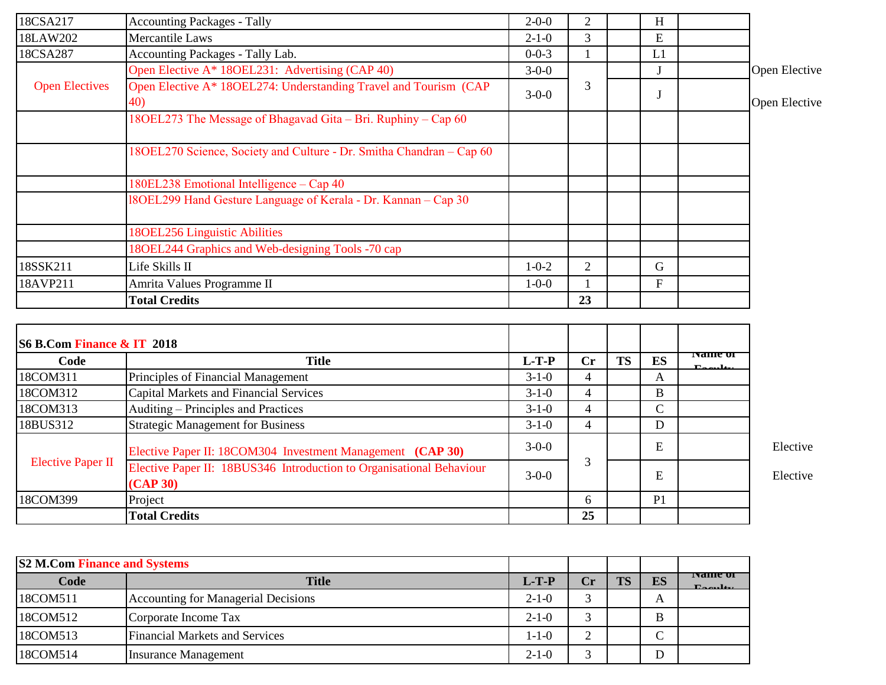| 18CSA217                   | <b>Accounting Packages - Tally</b>                                              | $2 - 0 - 0$ | $\overline{2}$ |           | H            |                                          |               |
|----------------------------|---------------------------------------------------------------------------------|-------------|----------------|-----------|--------------|------------------------------------------|---------------|
| 18LAW202                   | Mercantile Laws                                                                 | $2 - 1 - 0$ | $\overline{3}$ |           | E            |                                          |               |
| 18CSA287                   | Accounting Packages - Tally Lab.                                                | $0 - 0 - 3$ | 1              |           | L1           |                                          |               |
|                            | Open Elective A* 180EL231: Advertising (CAP 40)                                 | $3-0-0$     |                |           |              |                                          | Open Elective |
| <b>Open Electives</b>      | Open Elective A* 18OEL274: Understanding Travel and Tourism (CAP<br>40)         | $3-0-0$     | 3              |           | J            |                                          | Open Elective |
|                            | 180EL273 The Message of Bhagavad Gita – Bri. Ruphiny – Cap 60                   |             |                |           |              |                                          |               |
|                            | 18OEL270 Science, Society and Culture - Dr. Smitha Chandran - Cap 60            |             |                |           |              |                                          |               |
|                            | 180EL238 Emotional Intelligence - Cap 40                                        |             |                |           |              |                                          |               |
|                            | 18OEL299 Hand Gesture Language of Kerala - Dr. Kannan - Cap 30                  |             |                |           |              |                                          |               |
|                            | 180EL256 Linguistic Abilities                                                   |             |                |           |              |                                          |               |
|                            | 180EL244 Graphics and Web-designing Tools -70 cap                               |             |                |           |              |                                          |               |
| 18SSK211                   | Life Skills II                                                                  | $1 - 0 - 2$ | $\overline{2}$ |           | $\mathbf G$  |                                          |               |
| 18AVP211                   | Amrita Values Programme II                                                      | $1 - 0 - 0$ | 1              |           | $\mathbf{F}$ |                                          |               |
|                            | <b>Total Credits</b>                                                            |             | 23             |           |              |                                          |               |
|                            |                                                                                 |             |                |           |              |                                          |               |
| S6 B.Com Finance & IT 2018 |                                                                                 |             |                |           |              |                                          |               |
| Code                       | <b>Title</b>                                                                    | $L-T-P$     | Cr             | <b>TS</b> | ES           | ivanie of<br>$\mathbf{F}_{\text{const}}$ |               |
| 18COM311                   | Principles of Financial Management                                              | $3-1-0$     | 4              |           | A            |                                          |               |
| 18COM312                   | <b>Capital Markets and Financial Services</b>                                   | $3-1-0$     | $\overline{4}$ |           | $\bf{B}$     |                                          |               |
| 18COM313                   | Auditing – Principles and Practices                                             | $3-1-0$     | $\overline{4}$ |           | $\mathbf C$  |                                          |               |
| 18BUS312                   | <b>Strategic Management for Business</b>                                        | $3-1-0$     | $\overline{4}$ |           | D            |                                          |               |
|                            | Elective Paper II: 18COM304 Investment Management (CAP 30)                      | $3-0-0$     | 3              |           | E            |                                          | Elective      |
| <b>Elective Paper II</b>   | Elective Paper II: 18BUS346 Introduction to Organisational Behaviour<br>(CAP30) | $3-0-0$     |                |           | E            |                                          | Elective      |

| <b>S2 M.Com Finance and Systems</b> |                                            |             |               |           |    |                                          |
|-------------------------------------|--------------------------------------------|-------------|---------------|-----------|----|------------------------------------------|
| Code                                | <b>Title</b>                               | $L-T-P$     | $\mathbf{Cr}$ | <b>TS</b> | ES | <b>IVAHIE OF</b><br>$\Gamma$ a arr $\mu$ |
| 18COM511                            | <b>Accounting for Managerial Decisions</b> | $2 - 1 - 0$ | $\bigcap$     |           | A  |                                          |
| 18COM512                            | Corporate Income Tax                       | $2 - 1 - 0$ | ⌒             |           | B  |                                          |
| 18COM513                            | <b>Financial Markets and Services</b>      | $1 - 1 - 0$ | ⌒             |           | ◡  |                                          |
| 18COM514                            | <b>Insurance Management</b>                | $2 - 1 - 0$ | $\sim$        |           | D  |                                          |

18COM399 Project Project Project Project Protect Product Project Protect Product Product Protect Pro

**Total Credits 25**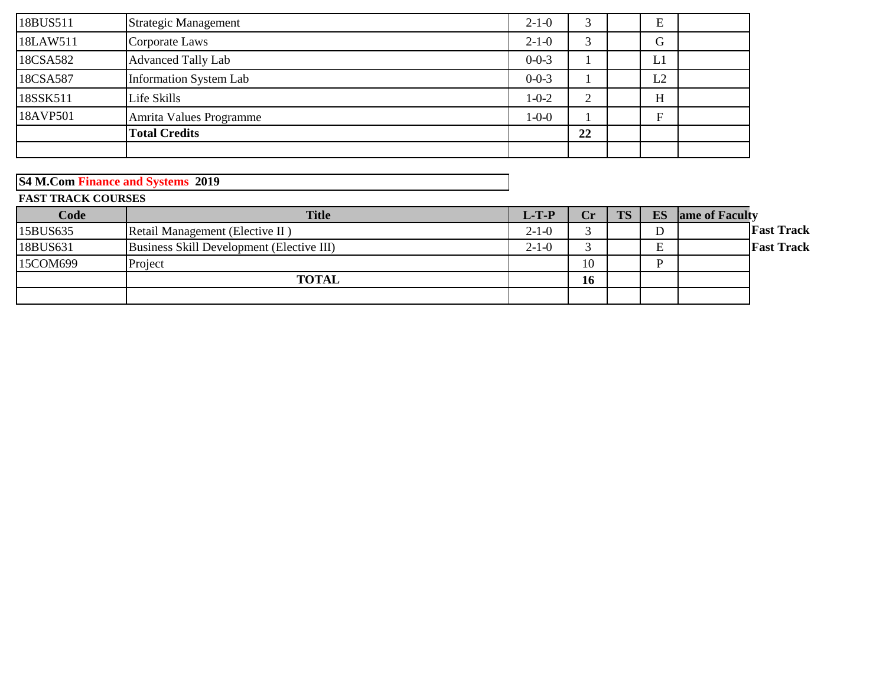| 18BUS511 | Strategic Management          | $2 - 1 - 0$ | 3                   | E  |  |
|----------|-------------------------------|-------------|---------------------|----|--|
| 18LAW511 | Corporate Laws                | $2 - 1 - 0$ |                     | G  |  |
| 18CSA582 | <b>Advanced Tally Lab</b>     | $0 - 0 - 3$ |                     | L1 |  |
| 18CSA587 | <b>Information System Lab</b> | $0 - 0 - 3$ |                     | L2 |  |
| 18SSK511 | Life Skills                   | $1 - 0 - 2$ | ↑<br>$\overline{ }$ | H  |  |
| 18AVP501 | Amrita Values Programme       | $1 - 0 - 0$ |                     | Г. |  |
|          | <b>Total Credits</b>          |             | 22                  |    |  |
|          |                               |             |                     |    |  |

**S4 M.Com Finance and Systems 2019**

**FAST TRACK COURSES**

| Code     | <b>Title</b>                              | $L-T-P'$    | $\bf Cr$ | <b>TS</b> | ES | ame of Faculty    |
|----------|-------------------------------------------|-------------|----------|-----------|----|-------------------|
| 15BUS635 | Retail Management (Elective II)           | $2-1-0$     |          |           | D  | <b>Fast Track</b> |
| 18BUS631 | Business Skill Development (Elective III) | $2 - 1 - 0$ |          |           | E  | <b>Fast Track</b> |
| 15COM699 | Project                                   |             | 10       |           |    |                   |
|          | <b>TOTAL</b>                              |             | 16       |           |    |                   |
|          |                                           |             |          |           |    |                   |